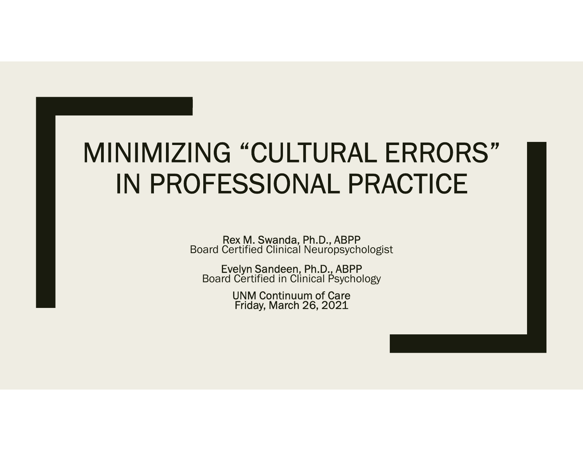#### MINIMIZING "CULTURAL ERRORS" IN PROFESSIONAL PRACTICE

Rex M. Swanda, Ph.D., ABPP Board Certified Clinical Neuropsychologist

Evelyn Sandeen, Ph.D., ABPP Board Certified in Clinical Psychology

UNM Continuum of Care Friday, March 26, 2021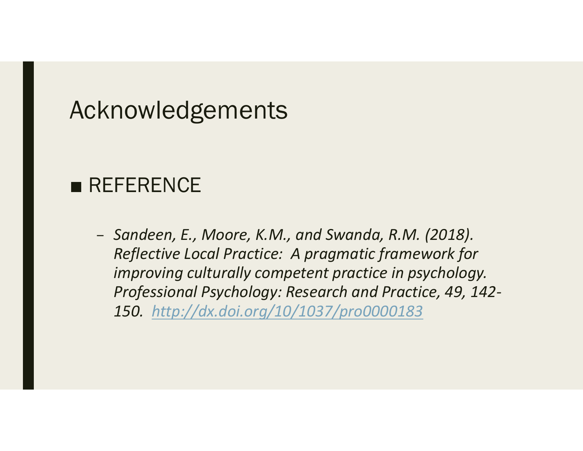#### Acknowledgements

Acknowledgements<br>■ REFERENCE<br>- Sandeen, E., Moore, K.M., and Swanda, R.M. (2018). Reflective Local Practice: A pragmatic framework for improving culturally competent practice in psychology. Professional Psychology: Research and Practice, 49, 142- 150. http://dx.doi.org/10/1037/pro0000183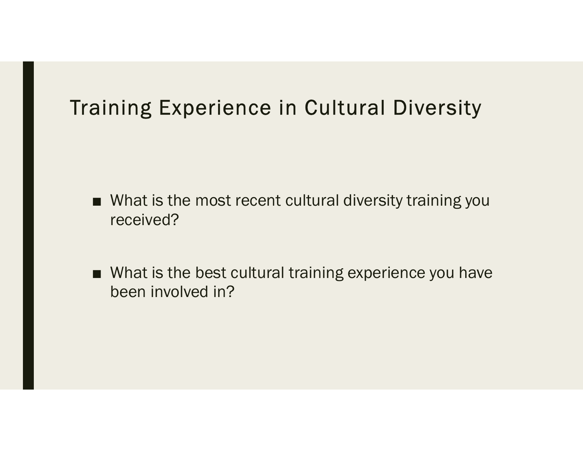# Training Experience in Cultural Diversity

- **aining Experience in Cultural Diversity**<br>■ What is the most recent cultural diversity training you<br>received? received?
- What is the most recent cultural Diversity<br>■ What is the most recent cultural diversity training you<br>received?<br>■ What is the best cultural training experience you have<br>been involved in? been involved in?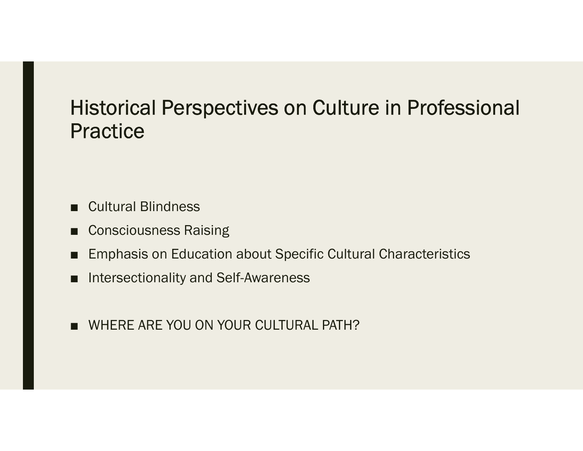## Historical Perspectives on Culture in Professional **Practice** -<br>
Historical Perspectives on Culture<br>
Practice<br>
■ Cultural Blindness<br>
■ Consciousness Raising<br>
■ Emphasis on Education about Specific Cultural -<br>
Historical Perspectives on Curactice<br>
- Cultural Blindness<br>
- Consciousness Raising<br>
- Emphasis on Education about Specific (<br>- Intersectionality and Self-Awareness **Historical Perspectives on Culture in Professional<br>Practice**<br>■ Cultural Blindness<br>■ Consciousness Raising<br>■ Emphasis on Education about Specific Cultural Characteristics<br>■ Intersectionality and Self-Awareness - Historical Perspectives on Culture in F<br>
- Practice<br>
- Cultural Blindness<br>
- Consciousness Raising<br>
- Emphasis on Education about Specific Cultural Chara<br>
- Intersectionality and Self-Awareness<br>
- WHERE ARE YOU ON YOUR

- 
- 
- 
- 
- Cultural Blindness<br>■ Consciousness Raising<br>■ Emphasis on Education about Specific Cultu<br>■ Intersectionality and Self-Awareness<br>■ WHERE ARE YOU ON YOUR CULTURAL PATH?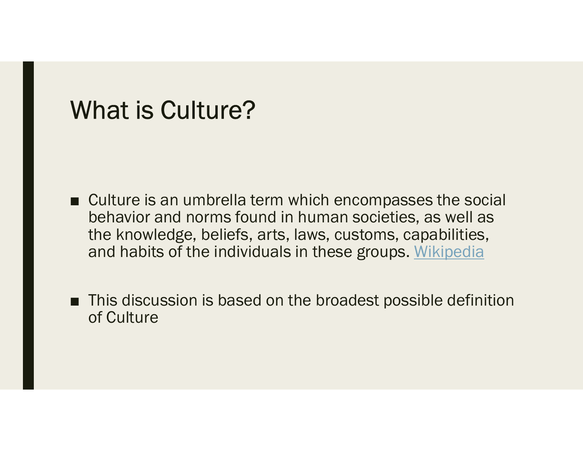#### What is Culture?

- Culture is an umbrella term which encompasses the social<br>
behavior and norms found in human societies, as well as<br>
the knowledge, beliefs, arts, laws, customs, capabilities,<br>
and having the individuals of the maniforms behavior and norms found in human societies, as well as the knowledge, beliefs, arts, laws, customs, capabilities, and habits of the individuals in these groups. Wikipedia ■ Culture is an umbrella term which encompasses the social<br>behavior and norms found in human societies, as well as<br>the knowledge, beliefs, arts, laws, customs, capabilities,<br>and habits of the individuals in these groups.
- of Culture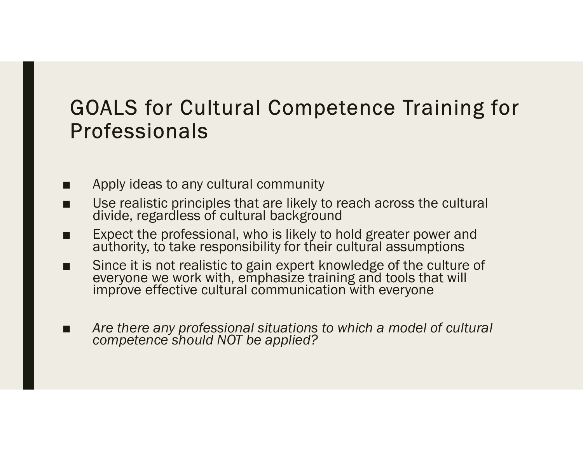# GOALS for Cultural Competence Training for Professionals GOALS for Cultural Competence Tr<br>Professionals<br>■ Apply ideas to any cultural community<br>■ Use realistic principles that are likely to reach across<br>divide, regardless of cultural background<br>■ Expect the professional who is **GOALS for Cultural Competence Training •**<br>Professionals<br>■ Apply ideas to any cultural community<br>■ Use realistic principles that are likely to reach across the cultural divide, regardless of cultural background<br>■ Expect t **GOALS for Cultural Competence Training for**<br> **Professionals**<br>
■ Apply ideas to any cultural community<br>
■ Use realistic principles that are likely to reach across the cultural<br>
divide, regardless of cultural background<br>
■ ■ Since it is not realistic to any cultural competence Training for<br>
■ Apply ideas to any cultural community<br>
■ Use realistic principles that are likely to reach across the cultural<br>
divide, regardless of cultural backgro

- 
- 
- 
- Since it is not realistic to gain expert knowledge of the culture of everyone we work with, emphasize training and tools that will improve effective cultural communication with everyone
- Are there any professional situations to which a model of cultural competence should NOT be applied?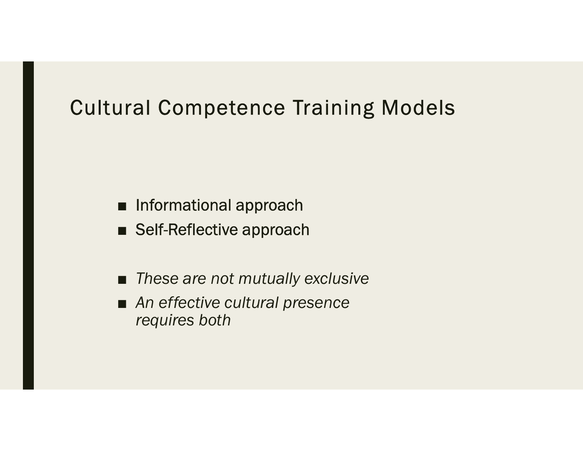# Cultural Competence Training Models |<br>| Informational approach<br>| Self-Reflective approach<br>| These are not mutually exclusive

- Informational approach
- 
- These are not mutually exclusive
- An effective cultural presence requires both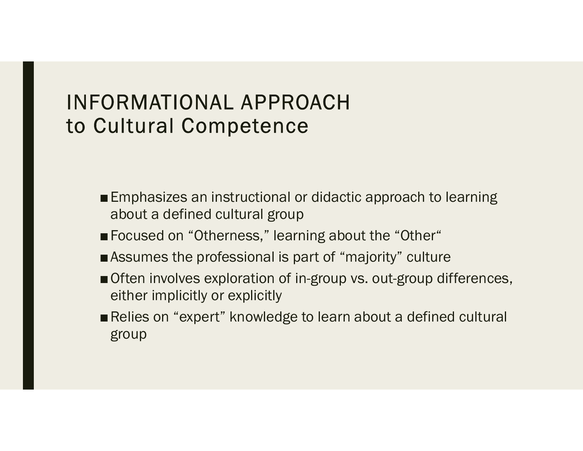#### INFORMATIONAL APPROACH to Cultural Competence

- Emphasizes an instructional or didactic approach to learning about a defined cultural group
- Focused on "Otherness," learning about the "Other"
- ■Assumes the professional is part of "majority" culture
- Often involves exploration of in-group vs. out-group differences, either implicitly or explicitly
- Relies on "expert" knowledge to learn about a defined cultural group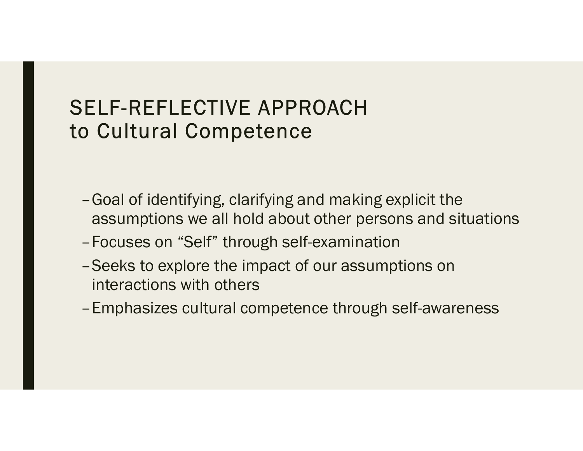#### SELF-REFLECTIVE APPROACH to Cultural Competence

- –Goal of identifying, clarifying and making explicit the ELF-REFLECTIVE APPROACH<br>Cultural Competence<br>Goal of identifying, clarifying and making explicit the<br>assumptions we all hold about other persons and situations<br>Focuses on "Self" through self-examination<br>Seeks to explore the
- 
- ELF-REFLECTIVE APPROACH<br>
COMBINET COMPORT COMBINED CONTINUES<br>
 Goal of identifying, clarifying and making explicit the<br>
assumptions we all hold about other persons and sit<br>
 Focuses on "Self" through self-examination<br>
 –Seeks to explore the impact of our assumptions on interactions with others
- –Emphasizes cultural competence through self-awareness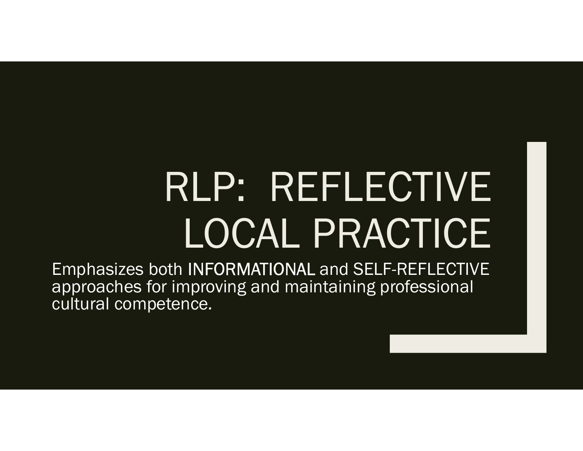## RLP: REFLECTIVE LOCAL PRACTICE

Emphasizes both INFORMATIONAL and SELF-REFLECTIVE approaches for improving and maintaining professional cultural competence.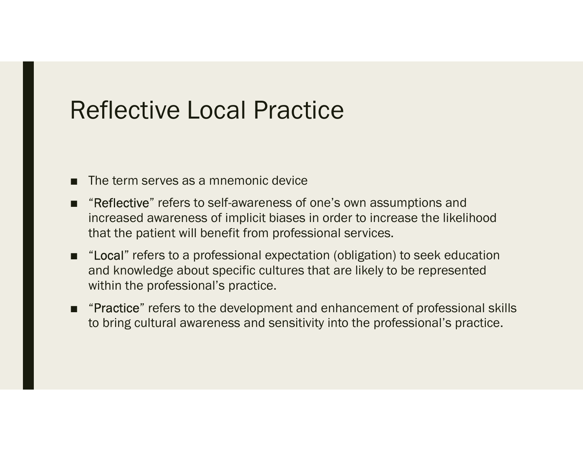#### Reflective Local Practice

- 
- Reflective Local Practice<br>
 The term serves as a mnemonic device<br>
 "Reflective" refers to self-awareness of one's own assumptic<br>
increased awareness of implicit biases in order to increase t ■ The term serves as a mnemonic device<br>■ "Reflective" refers to self-awareness of one's own assumptions and<br>increased awareness of implicit biases in order to increase the likelihood<br>that the patient will benefit from pro increased awareness of implicit biases in order to increase the likelihood eflective Local Practice<br>The term serves as a mnemonic device<br>"Reflective" refers to self-awareness of one's own assumptions a<br>increased awareness of implicit biases in order to increase the lil<br>that the patient will benef
- The term serves as a mnemonic device<br>
 "Reflective" refers to self-awareness of one's own assumptions and<br>
increased awareness of implicit biases in order to increase the likelihood<br>
that the patient will benefit from and knowledge about specific cultures that are likely to be represented within the professional's practice. ■ The term serves as a mnemonic device<br>
■ "Reflective" refers to self-awareness of one's own assumptions and<br>
increased awareness of implicit biases in order to increase the likelihood<br>
that the patient will benefit from
- to bring cultural awareness and sensitivity into the professional's practice.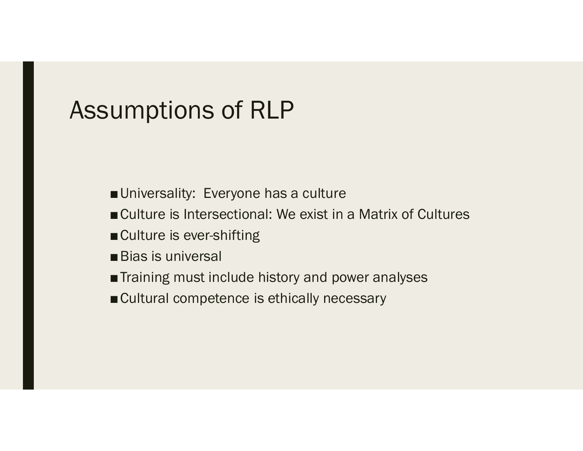#### Assumptions of RLP

- Universality: Everyone has a culture
- **umptions of RLP**<br>■Universality: Everyone has a culture<br>■Culture is Intersectional: We exist in a Matrix of Cultures<br>■Bias is universal **urificative is example in Example 19**<br>
■Culture is Intersectional: We exist in a Matrix of Cultures<br>
■Culture is ever-shifting<br>
■Bias is universal<br>
■Training must include history and power analyses<br>
■Cultural competence
- Culture is ever-shifting
- Bias is universal
- Training must include history and power analyses
-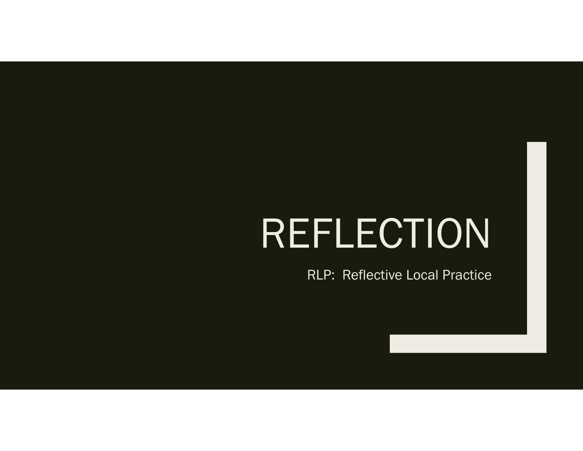## REFLECTION

RLP: Reflective Local Practice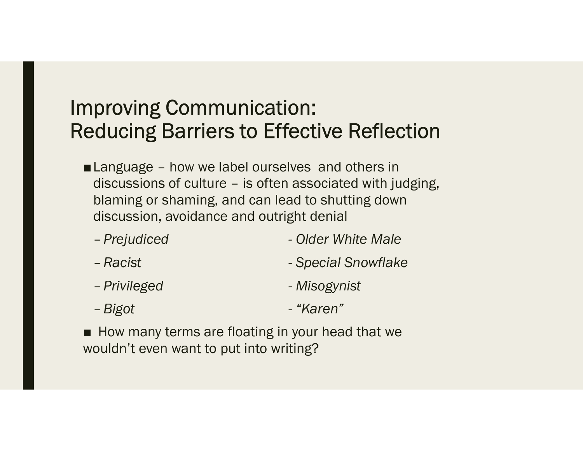- **nproving Communication:**<br> **educing Barriers to Effective Reflection**<br>
■Language how we label ourselves and others in<br>
discussions of culture is often associated with judging,<br>
blaming or shaming, and can lead to shut proving Communication:<br>ducing Barriers to Effective Reflection<br>Language – how we label ourselves and others in<br>discussions of culture – is often associated with judging,<br>blaming or shaming, and can lead to shutting down<br>di blaming or shaming, and can lead to shutting down discussion, avoidance and outright denial Froving Communication:<br>
Colder Conductive Reflection<br>
Language – how we label ourselves and others in<br>
discussions of culture – is often associated with judging,<br>
blaming or shaming, and can lead to shutting down<br>
discussi ■ Language – how we label ourselves and others in<br>discussions of culture – is often associated with judging,<br>blaming or shaming, and can lead to shutting down<br>discussion, avoidance and outright denial<br>- Prejudiced - Older
	-
	-
	-
	-
- wouldn't even want to put into writing?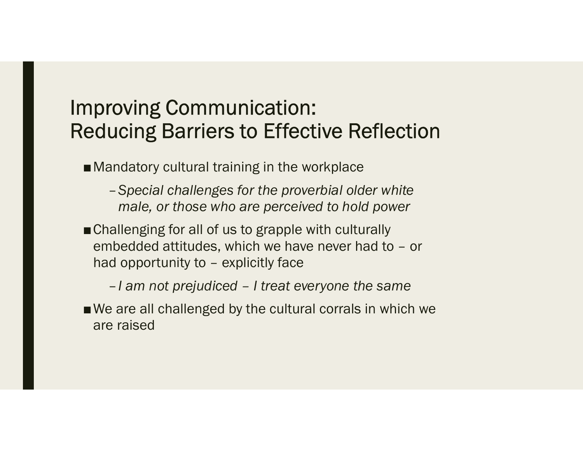■ Mandatory cultural training in the workplace

- –Special challenges for the proverbial older white male, or those who are perceived to hold power
- Challenging for all of us to grapple with culturally proving Communication:<br>
ducing Barriers to Effective Reflection<br>
Mandatory cultural training in the workplace<br>
- Special challenges for the proverbial older white<br>
male, or those who are perceived to hold power<br>
Challengin proving Communication:<br>
ducing Barriers to Effective Reflection<br>
Mandatory cultural training in the workplace<br>
- Special challenges for the proverbial older white<br>
male, or those who are perceived to hold power<br>
Challengin

■We are all challenged by the cultural corrals in which we are raised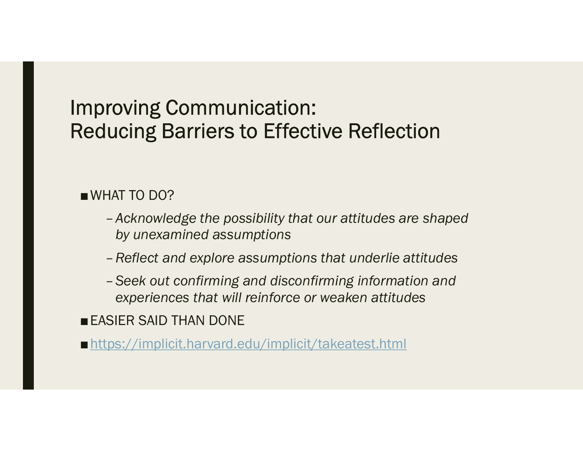#### ■WHAT TO DO?

- –Acknowledge the possibility that our attitudes are shaped by unexamined assumptions
- –Reflect and explore assumptions that underlie attitudes
- –Seek out confirming and disconfirming information and experiences that will reinforce or weaken attitudes

■ EASIER SAID THAN DONE

■ https://implicit.harvard.edu/implicit/takeatest.html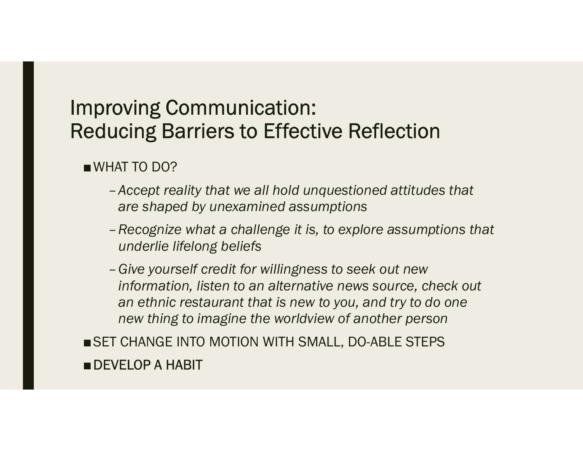■WHAT TO DO?

- –Accept reality that we all hold unquestioned attitudes that are shaped by unexamined assumptions
- –Recognize what a challenge it is, to explore assumptions that underlie lifelong beliefs
- –Give yourself credit for willingness to seek out new information, listen to an alternative news source, check out an ethnic restaurant that is new to you, and try to do one new thing to imagine the worldview of another person
- SET CHANGE INTO MOTION WITH SMALL, DO-ABLE STEPS ■ DEVELOP A HABIT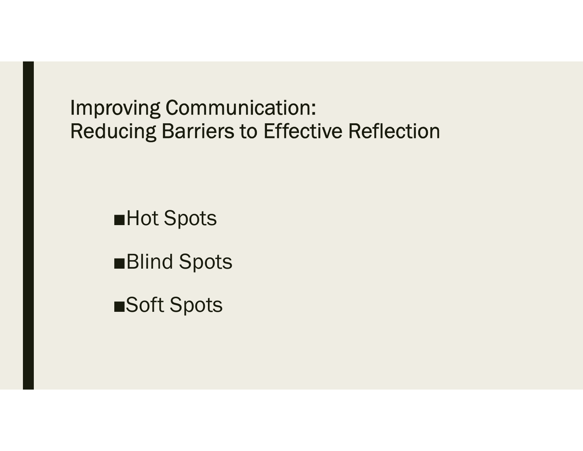■Hot Spots

■Blind Spots

■Soft Spots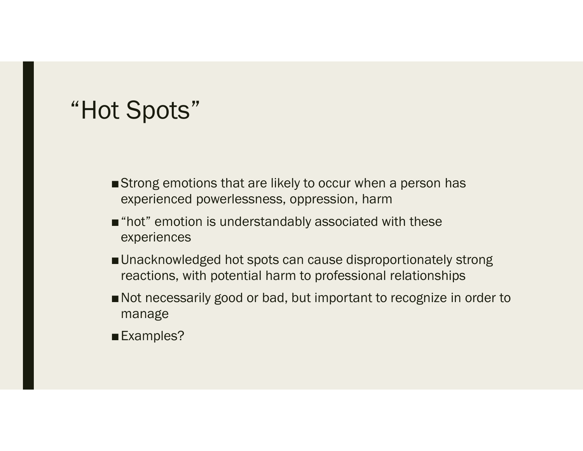#### "Hot Spots"

- ■Strong emotions that are likely to occur when a person has experienced powerlessness, oppression, harm
- "hot" emotion is understandably associated with these experiences
- Unacknowledged hot spots can cause disproportionately strong reactions, with potential harm to professional relationships
- Not necessarily good or bad, but important to recognize in order to manage
- ■Examples?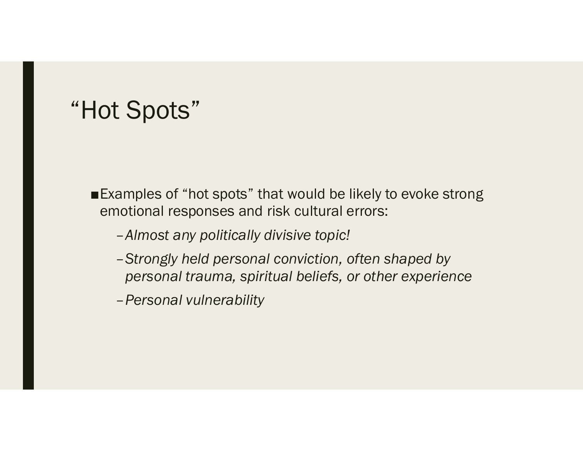#### "Hot Spots"

- ■Examples of "hot spots" that would be likely to evoke strong emotional responses and risk cultural errors:
	- –Almost any politically divisive topic!
	- –Strongly held personal conviction, often shaped by personal trauma, spiritual beliefs, or other experience
	- –Personal vulnerability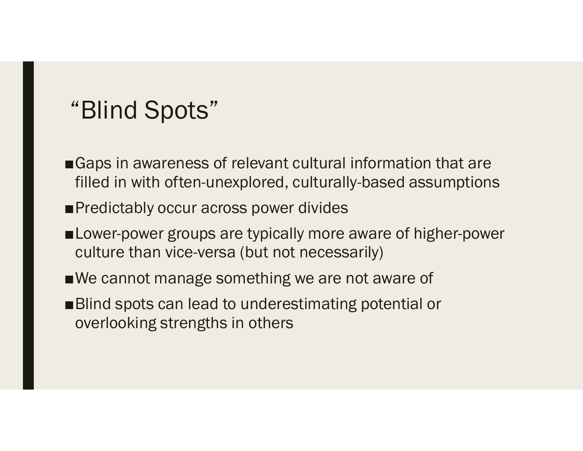#### "Blind Spots"

- "Blind Spots"<br>■Gaps in awareness of relevant cultural information that are<br>filled in with often-unexplored, culturally-based assumptions<br>■Predictably occur across power divides filled in with often-unexplored, culturally-based assumptions "Blind Spots"<br>■Gaps in awareness of relevant cultural informat<br>filled in with often-unexplored, culturally-based<br>■Predictably occur across power divides<br>■Lower-power groups are typically more aware of<br>culture than vice-ve
- 
- ■Lower-power groups are typically more aware of higher-power culture than vice-versa (but not necessarily) Gaps in awareness of relevant cultural information that are<br>filled in with often-unexplored, culturally-based assumption<br>Predictably occur across power divides<br>Lower-power groups are typically more aware of higher-pow<br>cult
- ■We cannot manage something we are not aware of
- ■Blind spots can lead to underestimating potential or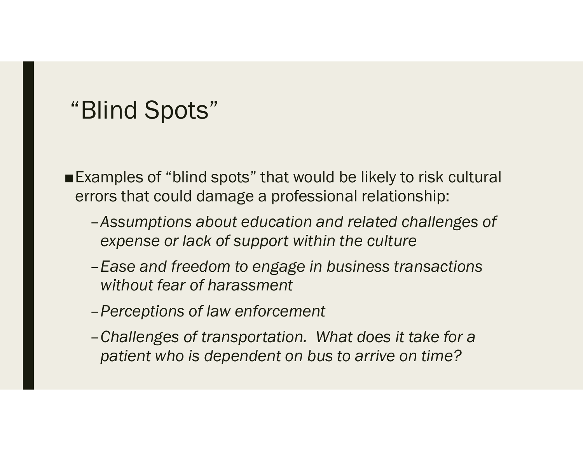#### "Blind Spots"

■Examples of "blind spots" that would be likely to risk cultural errors that could damage a professional relationship:

- –Assumptions about education and related challenges of expense or lack of support within the culture
- –Ease and freedom to engage in business transactions without fear of harassment
- –Perceptions of law enforcement
- –Challenges of transportation. What does it take for a patient who is dependent on bus to arrive on time?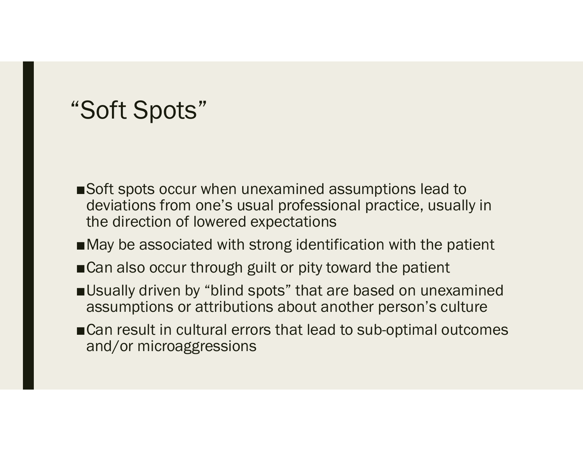#### "Soft Spots"

- ■Soft spots occur when unexamined assumptions lead to deviations from one's usual professional practice, usually in the direction of lowered expectations
- ■May be associated with strong identification with the patient
- ■Can also occur through guilt or pity toward the patient
- ■Usually driven by "blind spots" that are based on unexamined assumptions or attributions about another person's culture
- ■Can result in cultural errors that lead to sub-optimal outcomes and/or microaggressions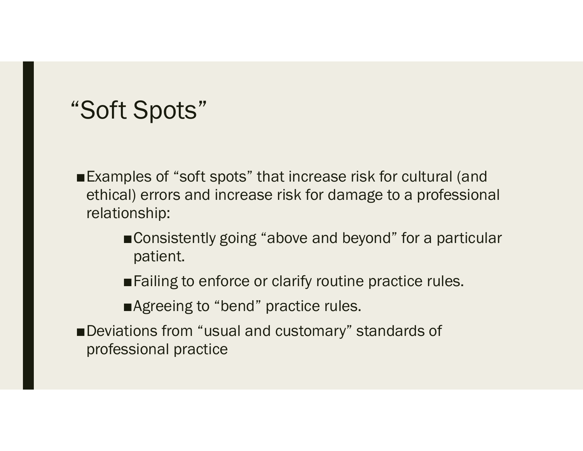#### "Soft Spots"

- ■Examples of "soft spots" that increase risk for cultural (and ethical) errors and increase risk for damage to a professional relationship:
	- ■Consistently going "above and beyond" for a particular patient.
	- ■Failing to enforce or clarify routine practice rules.
	- ■Agreeing to "bend" practice rules.
- ■Deviations from "usual and customary" standards of professional practice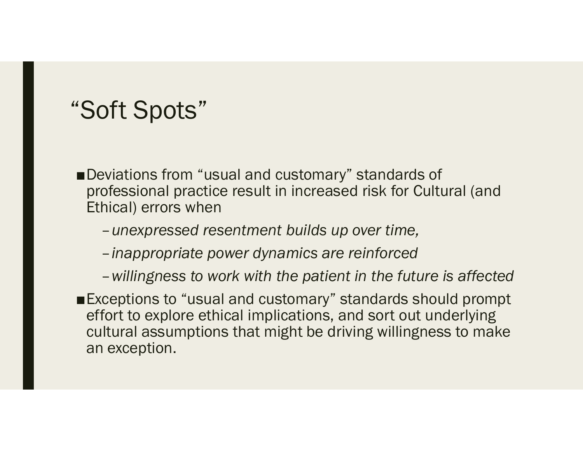#### "Soft Spots"

- ■Deviations from "usual and customary" standards of professional practice result in increased risk for Cultural (and Ethical) errors when
	- –unexpressed resentment builds up over time,
	- –inappropriate power dynamics are reinforced
	- –willingness to work with the patient in the future is affected
- ■Exceptions to "usual and customary" standards should prompt effort to explore ethical implications, and sort out underlying cultural assumptions that might be driving willingness to make an exception.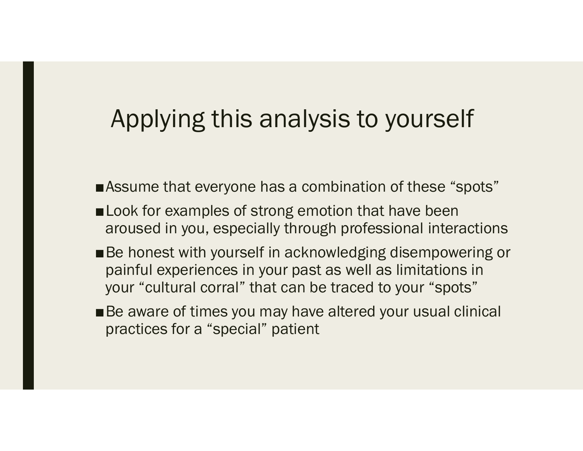#### Applying this analysis to yourself

- ■Assume that everyone has a combination of these "spots"
- Look for examples of strong emotion that have been aroused in you, especially through professional interactions
- Applying this analysis to yourself<br>
■Assume that everyone has a combination of these "spots"<br>
■Look for examples of strong emotion that have been<br>
aroused in you, especially through professional interactions<br>
■Be honest w painful experiences in your past as well as limitations in Applying this analysis to yourself<br>Assume that everyone has a combination of these "spots"<br>Look for examples of strong emotion that have been<br>aroused in you, especially through professional interactions<br>Be honest with your
- ■Be aware of times you may have altered your usual clinical practices for a "special" patient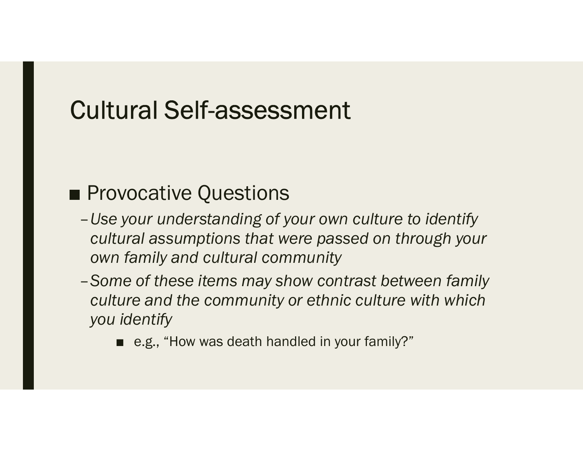#### Cultural Self-assessment

- -<br>
 Provocative Questions<br>
 Provocative Questions<br>
 Use your understanding of your own culture to identify<br>
cultural assumptions that were passed on through your cultural assumptions that were passed on through your own family and cultural community No example the Questions<br>
• your understanding of your own culture to<br>
• your understanding of your own culture to<br>
• family and cultural community<br>
• family and the community or ethnic culture<br>
• identify<br>
■ e.g., "How w
	- –Some of these items may show contrast between family culture and the community or ethnic culture with which you identify
		-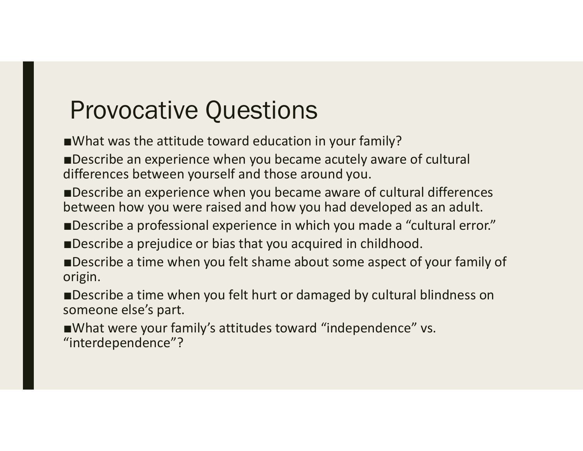#### Provocative Questions

■What was the attitude toward education in your family?

■Describe an experience when you became acutely aware of cultural differences between yourself and those around you.

■Describe an experience when you became aware of cultural differences between how you were raised and how you had developed as an adult.

■Describe a professional experience in which you made a "cultural error."

■Describe a prejudice or bias that you acquired in childhood.

■Describe a time when you felt shame about some aspect of your family of origin.

■Describe a time when you felt hurt or damaged by cultural blindness on someone else's part.

■What were your family's attitudes toward "independence" vs. "interdependence"?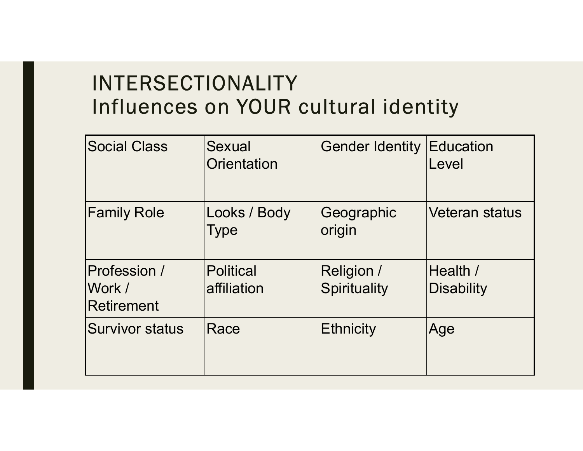# INTERSECTIONALITY INTERSECTIONALITY<br>Influences on YOUR cultural identity<br>Social Class Sexual Gender Identity Education

| <b>INTERSECTIONALITY</b><br>Influences on YOUR cultural identity |                                 |                                   |                        |  |  |  |
|------------------------------------------------------------------|---------------------------------|-----------------------------------|------------------------|--|--|--|
| <b>Social Class</b>                                              | Sexual<br>Orientation           | <b>Gender Identity Education</b>  | Level                  |  |  |  |
| <b>Family Role</b>                                               | Looks / Body<br>Type            | Geographic<br>origin              | <b>Veteran status</b>  |  |  |  |
| Profession /<br>Work /<br><b>Retirement</b>                      | <b>Political</b><br>affiliation | <b>Religion /</b><br>Spirituality | Health /<br>Disability |  |  |  |
| <b>Survivor status</b>                                           | Race                            | Ethnicity                         | Age                    |  |  |  |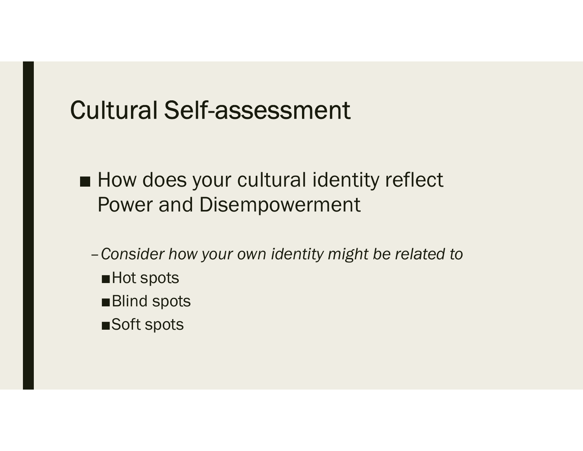#### Cultural Self-assessment

- -<br>
→ How does your cultural identity reflect<br>
→ How does your cultural identity reflect<br>
→ Power and Disempowerment Power and Disempowerment
	- –Consider how your own identity might be related to
		- ■Hot spots
		- ■Blind spots
		- ■Soft spots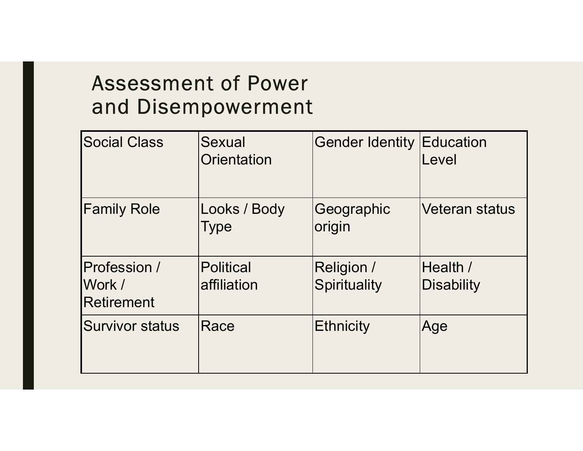#### Assessment of Power and Disempowerment

|                                             | <b>Assessment of Power</b><br>and Disempowerment |                                   |                        |
|---------------------------------------------|--------------------------------------------------|-----------------------------------|------------------------|
| <b>Social Class</b>                         | <b>Sexual</b><br>Orientation                     | <b>Gender Identity Education</b>  | Level                  |
| <b>Family Role</b>                          | Looks / Body<br>Type                             | Geographic<br>origin              | <b>Veteran status</b>  |
| Profession /<br>Work /<br><b>Retirement</b> | <b>Political</b><br>affiliation                  | <b>Religion /</b><br>Spirituality | Health /<br>Disability |
| Survivor status                             | Race                                             | <b>Ethnicity</b>                  | Age                    |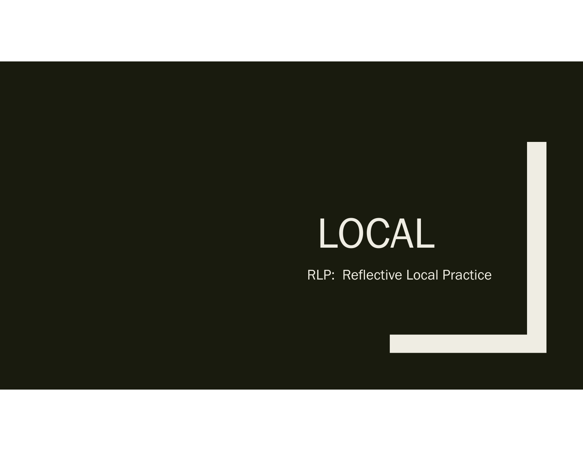### LOCAL

RLP: Reflective Local Practice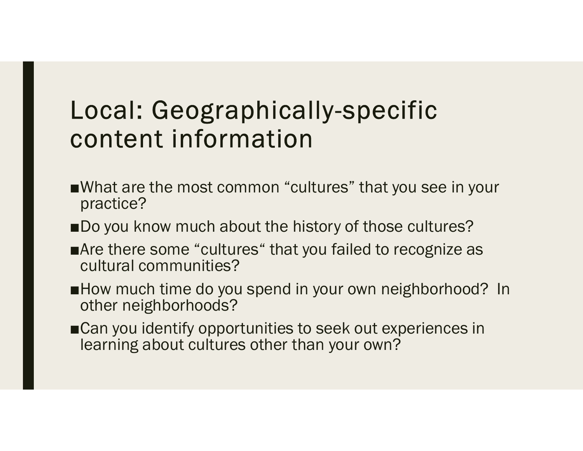# Local: Geographically-specific content information Local: Geographically-specific<br>
content information<br>
What are the most common "cultures" that you see in your<br>
Do you know much about the history of those cultures? **Local: Geographically-specific**<br> **content information**<br>
■What are the most common "cultures" that you see in your<br>
practice?<br>
■Do you know much about the history of those cultures?<br>
■Are there some "cultures" that you fa

- practice?
- ■Do you know much about the history of those cultures?
- ■Are there some "cultures" that you failed to recognize as cultural communities?
- other neighborhoods?
- ■Can you identify opportunities to seek out experiences in learning about cultures other than your own?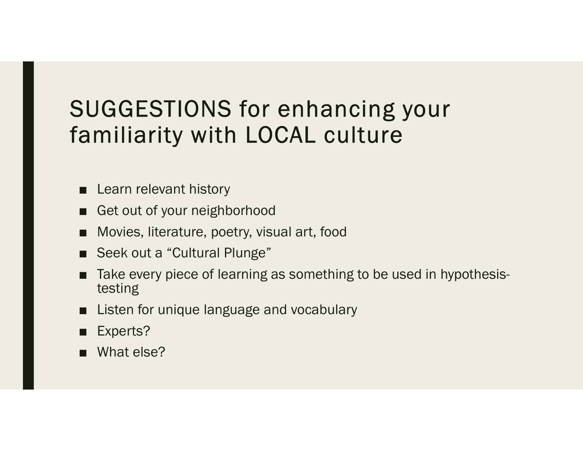# SUGGESTIONS for enhancing your<br>familiarity with LOCAL culture familiarity with LOCAL culture SUGGESTIONS for enhal<br>amiliarity with LOCAL c<br>■ Learn relevant history<br>■ Get out of your neighborhood<br>■ Movies, literature, poetry, visual art, foo <br> **SUGGESTIONS for enhancing<br>
amiliarity with LOCAL culture**<br>
<br> **Example to a gradity**<br>
<br> **Example to a gradity of your neighborhood**<br> **Example to your neighborhood**<br> **Example to Seek out a "Cultural Plunge"** SUGGESTIONS for enhancing your<br>
amiliarity with LOCAL culture<br>
■ Learn relevant history<br>
■ Get out of your neighborhood<br>
■ Movies, literature, poetry, visual art, food<br>
■ Seek out a "Cultural Plunge"<br>
■ Take every piece o SUGGESTIONS for enhanc<br>
amiliarity with LOCAL cult<br>
■ Learn relevant history<br>
■ Get out of your neighborhood<br>
■ Movies, literature, poetry, visual art, food<br>
■ Seek out a "Cultural Plunge"<br>
■ Take every piece of learning CUGGESTIONS for enhancing your<br>
amiliarity with LOCAL culture<br>
■ Learn relevant history<br>
■ Get out of your neighborhood<br>
■ Movies, literature, poetry, visual art, food<br>
■ Seek out a "Cultural Plunge"<br>
■ Take every piece o

- 
- 
- 
- 
- testing **a miliarity with LOCAL culture**<br>
■ Learn relevant history<br>
■ Get out of your neighborhood<br>
■ Movies, literature, poetry, visual art, food<br>
■ Seek out a "Cultural Plunge"<br>
■ Take every piece of learning as something to be ■ Learn relevant history<br>■ Get out of your neighborhood<br>■ Movies, literature, poetry, visual art, foo<br>■ Seek out a "Cultural Plunge"<br>■ Take every piece of learning as somethitesting<br>■ Listen for unique language and vocabu ■ Learn relevant history<br>
■ Get out of your neighborhood<br>
■ Movies, literature, poetry, visual art, foo<br>
■ Seek out a "Cultural Plunge"<br>
■ Take every piece of learning as somethi<br>
testing<br>
■ Listen for unique language and
- 
- 
-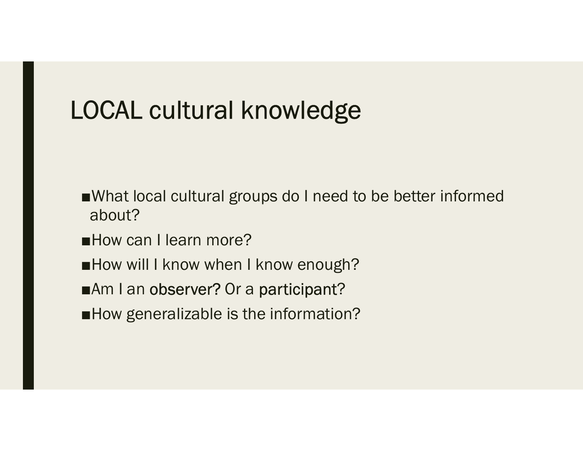# LOCAL cultural knowledge

- ■What local cultural groups do I need to be better informed about?
- ■How can I learn more?
- ■How will I know when I know enough?
- ■Am I an observer? Or a participant?
- ■How generalizable is the information?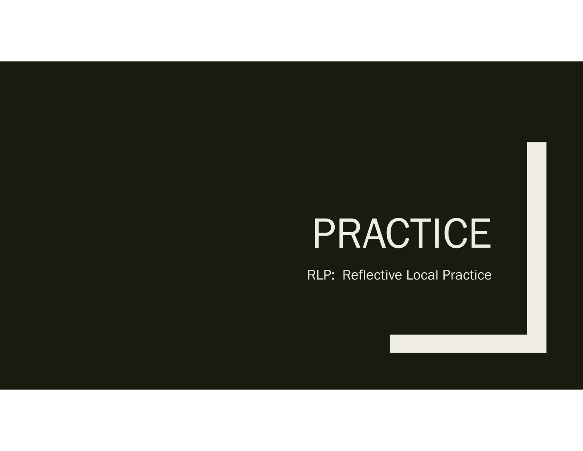### PRACTICE

RLP: Reflective Local Practice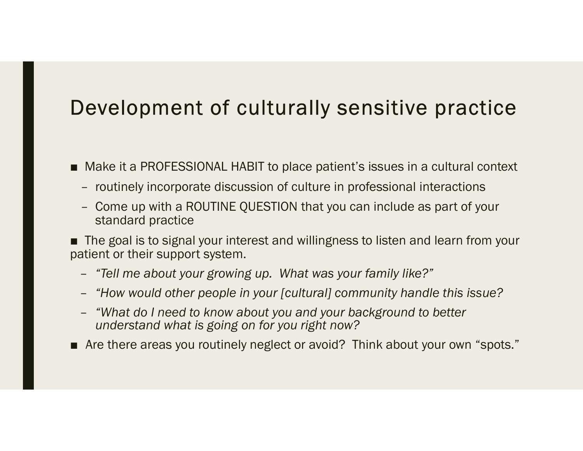# Development of culturally sensitive practice **Development of culturally sensitive practice**<br>■ Make it a PROFESSIONAL HABIT to place patient's issues in a cultural context<br>- routinely incorporate discussion of culture in professional interactions<br>- Come up with a ROU

- -
- Example 19 The Control of Culturally Sensitive practice<br>
Make it a PROFESSIONAL HABIT to place patient's issues in a cultural context<br>
 routinely incorporate discussion of culture in professional interactions<br>
 Come up w **Development of culturally sensitive practice**<br>
Make it a PROFESSIONAL HABIT to place patient's issues in a cultural context<br>
- routinely incorporate discussion of culture in professional interactions<br>
- Come up with a ROU standard practice

**Development of culturally sensitive practice**<br>
■ Make it a PROFESSIONAL HABIT to place patient's issues in a cultural context<br>
- routinely incorporate discussion of culture in professional interactions<br>
- Come up with a patient or their support system.<br>4. – "Tell me about your growing up. What was your family like?" ■ Make it a PROFESSIONAL HABIT to place patient's issues in a cultural context<br>
- routinely incorporate discussion of culture in professional interactions<br>
- Come up with a ROUTINE QUESTION that you can include as part of

- 
- "How would other people in your [cultural] community handle this issue?
- "What do I need to know about you and your background to better understand what is going on for you right now?
-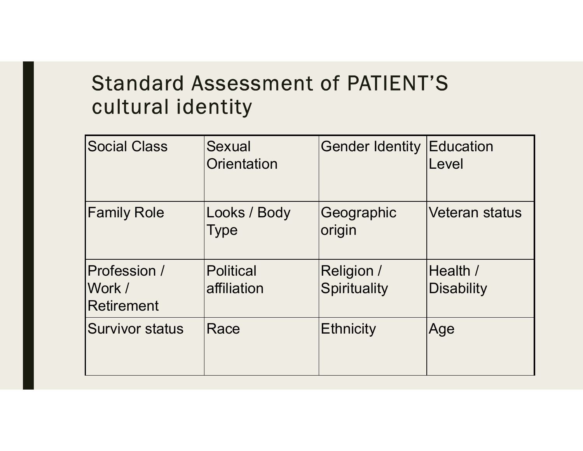#### Standard Assessment of PATIENT'S cultural identity

| <b>Standard Assessment of PATIENT'S</b><br>cultural identity |                                 |                                   |                        |  |  |  |
|--------------------------------------------------------------|---------------------------------|-----------------------------------|------------------------|--|--|--|
| <b>Social Class</b>                                          | Sexual<br>Orientation           | <b>Gender Identity Education</b>  | Level                  |  |  |  |
| <b>Family Role</b>                                           | Looks / Body<br>Type            | Geographic<br>origin              | <b>Veteran status</b>  |  |  |  |
| Profession /<br>Work /<br><b>Retirement</b>                  | <b>Political</b><br>affiliation | <b>Religion /</b><br>Spirituality | Health /<br>Disability |  |  |  |
| <b>Survivor status</b>                                       | Race                            | Ethnicity                         | Age                    |  |  |  |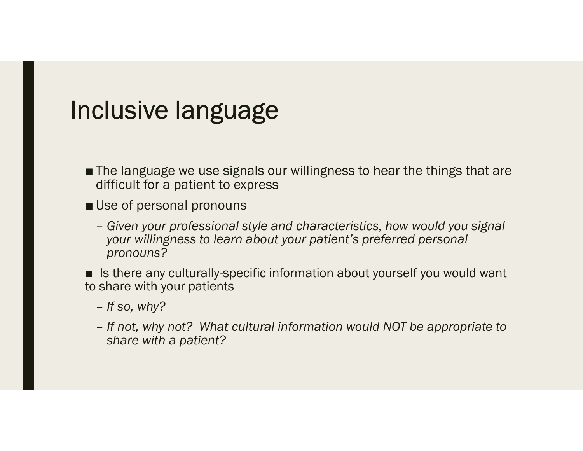#### Inclusive language

- Not and the language we use signals our willingness to hear the things that are<br>■ The language we use signals our willingness to hear the things that are<br>■ Use of personal pronouns difficult for a patient to express
- 
- nclusive language<br>■ The language we use signals our willingness to hear the things that are<br>difficult for a patient to express<br>■ Use of personal pronouns<br>— Given your professional style and characteristics, how would you - Given your professional style and characteristics, how would you signal vour willingness to learn about your patient's preferred personal pronouns? ■ In language we use signals our willingness to hear the things that are<br>
difficult for a patient to express<br>
■ Use of personal pronouns<br>
- Given your professional style and characteristics, how would you signal<br>
your wil

to share with your patients

- If so, why?
- If not, why not? What cultural information would NOT be appropriate to share with a patient?